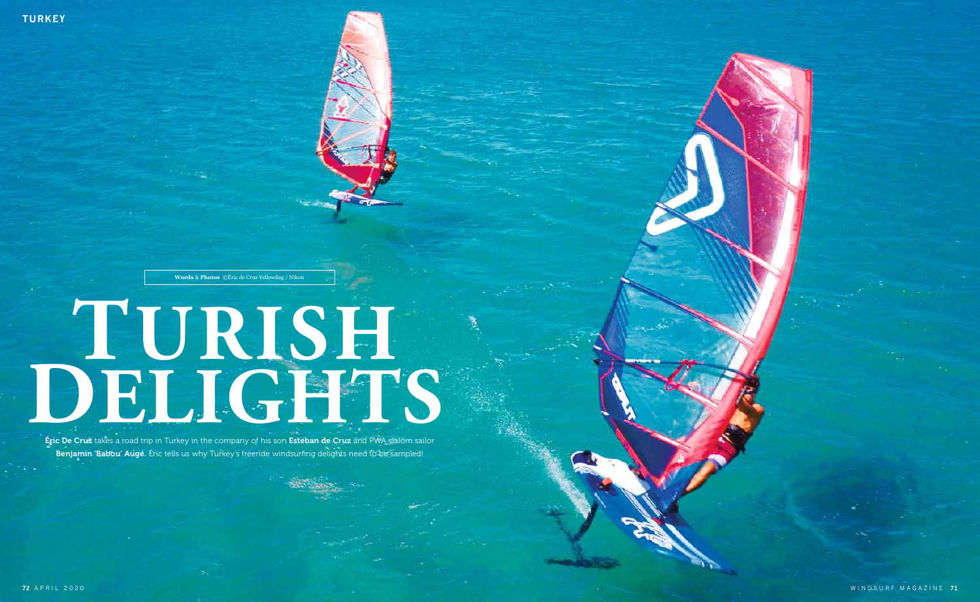

# **TURISH**  Eric De Cruz takes a road trip in Turkey in the company of his son Esteban de Cruz and PWA slalom sailor

**Éric De Cruz** takes a road trip in Turkey in the company of his son Esteban de Cruz and PWA slalom sailor Benjamin 'Babou' Augé. Éric tells us why Turkey's freeride windsurfing delights need to be sampled!

**Words** & **Photos** ©Éric de Cruz Yellowfag / Nikon

WINDSURF MAGAZINE **71**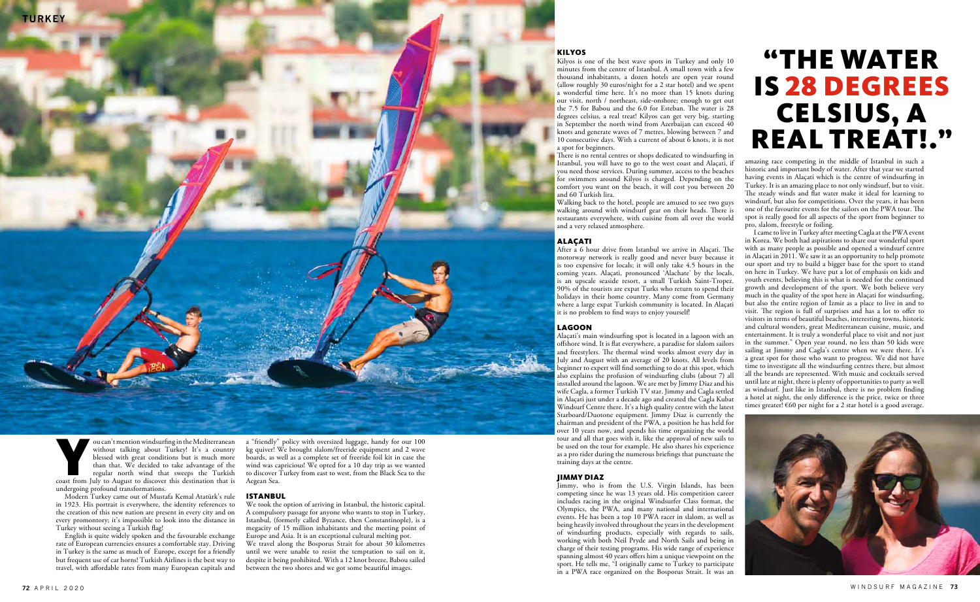

Voltaire in the Mediterranean windsurfing in the Mediterranean without talking about Turkey! It's a country blessed with great conditions but is much more than that. We decided to take advantage of the regular north wind t without talking about Turkey! It's a country blessed with great conditions but is much more than that. We decided to take advantage of the regular north wind that sweeps the Turkish undergoing profound transformations.

Modern Turkey came out of Mustafa Kemal Atatürk's rule in 1923. His portrait is everywhere, the identity references to the creation of this new nation are present in every city and on every promontory; it's impossible to look into the distance in Turkey without seeing a Turkish fag!

English is quite widely spoken and the favourable exchange rate of European currencies ensures a comfortable stay. Driving in Turkey is the same as much of Europe, except for a friendly but frequent use of car horns! Turkish Airlines is the best way to travel, with afordable rates from many European capitals and a "friendly" policy with oversized luggage, handy for our 100 kg quiver! We brought slalom/freeride equipment and 2 wave boards, as well as a complete set of freeride foil kit in case the wind was capricious! We opted for a 10 day trip as we wanted to discover Turkey from east to west, from the Black Sea to the Aegean Sea.

#### ISTANBUL

There is no rental centres or shops dedicated to windsurfing in Istanbul, you will have to go to the west coast and Alaçati, if you need those services. During summer, access to the beaches for swimmers around Kilyos is charged. Depending on the comfort you want on the beach, it will cost you between 20 and 60 Turkish lira.

We took the option of arriving in Istanbul, the historic capital. A compulsory passage for anyone who wants to stop in Turkey, Istanbul, (formerly called Byzance, then Constantinople), is a megacity of 15 million inhabitants and the meeting point of Europe and Asia. It is an exceptional cultural melting pot. We travel along the Bosporus Strait for about 30 kilometres until we were unable to resist the temptation to sail on it, despite it being prohibited. With a 12 knot breeze, Babou sailed between the two shores and we got some beautiful images.

After a 6 hour drive from Istanbul we arrive in Alaçati. The motorway network is really good and never busy because it is too expensive for locals; it will only take 4.5 hours in the coming years. Alaçati, pronounced 'Alachate' by the locals, is an upscale seaside resort, a small Turkish Saint-Tropez. 90% of the tourists are expat Turks who return to spend their holidays in their home country. Many come from Germany where a large expat Turkish community is located. In Alaçati it is no problem to fnd ways to enjoy yourself!

### KILYOS

Kilyos is one of the best wave spots in Turkey and only 10 minutes from the centre of Istanbul. A small town with a few thousand inhabitants, a dozen hotels are open year round (allow roughly 30 euros/night for a 2 star hotel) and we spent a wonderful time here. It's no more than 15 knots during our visit, north / northeast, side-onshore; enough to get out the  $7.5$  for Babou and the  $6.0$  for Esteban. The water is  $28$ degrees celsius, a real treat! Kilyos can get very big, starting in September the north wind from Azerbaijan can exceed 40 knots and generate waves of 7 metres, blowing between 7 and 10 consecutive days. With a current of about 6 knots, it is not a spot for beginners.

> I came to live in Turkey after meeting Cagla at the PWA event in Korea. We both had aspirations to share our wonderful sport with as many people as possible and opened a windsurf centre in Alaçati in 2011. We saw it as an opportunity to help promote our sport and try to build a bigger base for the sport to stand on here in Turkey. We have put a lot of emphasis on kids and youth events, believing this is what is needed for the continued growth and development of the sport. We both believe very much in the quality of the spot here in Alaçati for windsurfng, but also the entire region of Izmir as a place to live in and to visit. The region is full of surprises and has a lot to offer to visitors in terms of beautiful beaches, interesting towns, historic and cultural wonders, great Mediterranean cuisine, music, and entertainment. It is truly a wonderful place to visit and not just in the summer." Open year round, no less than 50 kids were sailing at Jimmy and Cagla's centre when we were there. It's a great spot for those who want to progress. We did not have time to investigate all the windsurfng centres there, but almost all the brands are represented. With music and cocktails served until late at night, there is plenty of opportunities to party as well as windsurf. Just like in Istanbul, there is no problem fnding a hotel at night, the only diference is the price, twice or three times greater!  $\epsilon$ 60 per night for a 2 star hotel is a good average.



Walking back to the hotel, people are amused to see two guys walking around with windsurf gear on their heads. There is restaurants everywhere, with cuisine from all over the world and a very relaxed atmosphere.

### ALAÇATI

#### LAGOON

Alaçati's main windsurfng spot is located in a lagoon with an ofshore wind. It is fat everywhere, a paradise for slalom sailors and freestylers. The thermal wind works almost every day in July and August with an average of 20 knots. All levels from beginner to expert will fnd something to do at this spot, which also explains the profusion of windsurfng clubs (about 7) all installed around the lagoon. We are met by Jimmy Diaz and his wife Cagla, a former Turkish TV star. Jimmy and Cagla settled in Alaçati just under a decade ago and created the Cagla Kubat Windsurf Centre there. It's a high quality centre with the latest Starboard/Duotone equipment. Jimmy Diaz is currently the chairman and president of the PWA, a position he has held for over 10 years now, and spends his time organizing the world tour and all that goes with it, like the approval of new sails to be used on the tour for example. He also shares his experience as a pro rider during the numerous briefngs that punctuate the training days at the centre.

#### JIMMY DIAZ

Jimmy, who is from the U.S. Virgin Islands, has been competing since he was 13 years old. His competition career includes racing in the original Windsurfer Class format, the Olympics, the PWA, and many national and international events. He has been a top 10 PWA racer in slalom, as well as being heavily involved throughout the years in the development of windsurfng products, especially with regards to sails, working with both Neil Pryde and North Sails and being in charge of their testing programs. His wide range of experience spanning almost 40 years offers him a unique viewpoint on the sport. He tells me, "I originally came to Turkey to participate in a PWA race organized on the Bosporus Strait. It was an

amazing race competing in the middle of Istanbul in such a historic and important body of water. After that year we started having events in Alaçati which is the centre of windsurfng in Turkey. It is an amazing place to not only windsurf, but to visit. The steady winds and flat water make it ideal for learning to windsurf, but also for competitions. Over the years, it has been one of the favourite events for the sailors on the PWA tour. The spot is really good for all aspects of the sport from beginner to pro, slalom, freestyle or foiling.

# "THE WATER IS 28 DEGREES CELSIUS, A REAL TREAT!."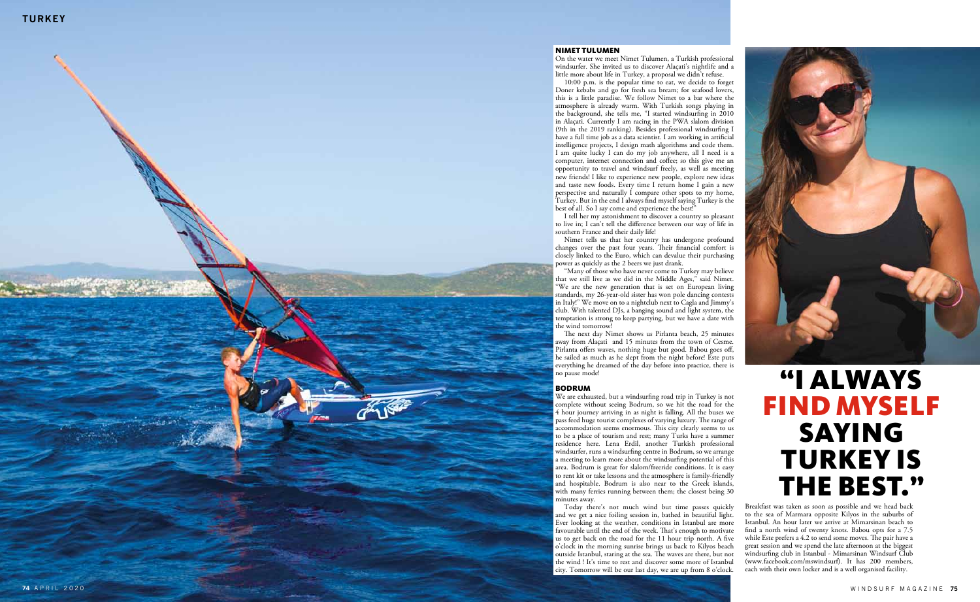

### NIM ET TULUM E N

10:00 p.m. is the popular time to eat, we decide to forget Doner kebabs and go for fresh sea bream; for seafood lovers, this is a little paradise. We follow Nimet to a bar where the atmosphere is already warm. With Turkish songs playing in the background, she tells me, "I started windsur fng in 2010 in Alaçati. Currently I am racing in the PWA slalom division (9th in the 2019 ranking). Besides professional windsur fng I have a full time job as a data scientist. I am working in arti fcial intelligence projects, I design math algorithms and code them. I am quite lucky I can do my job anywhere, all I need is a computer, internet connection and co fee; so this give me an opportunity to travel and windsurf freely, as well as meeting new friends! I like to experience new people, explore new ideas and taste new foods. Every time I return home I gain a new perspective and naturally I compare other spots to my home, Turkey. But in the end I always fnd myself saying Turkey is the best of all. So I say come and experience the best!"

On the water we meet Nimet Tulumen, a Turkish professional windsurfer. She invited us to discover Alaçati's nightlife and a little more about life in Turkey, a proposal we didn't refuse.

The next day Nimet shows us Pirlanta beach, 25 minutes away from Alaçati and 15 minutes from the town of Cesme. Pirlanta o fers waves, nothing huge but good. Babou goes o f, he sailed as much as he slept from the night before! Este puts everything he dreamed of the day before into practice, there is no pause mode!

I tell her my astonishment to discover a country so pleasant to live in; I can't tell the di ference between our way of life in southern France and their daily life!

Nimet tells us that her country has undergone profound changes over the past four years. Their financial comfort is closely linked to the Euro, which can devalue their purchasing power as quickly as the 2 beers we just drank.

"Many of those who have never come to Turkey may believe that we still live as we did in the Middle Ages," said Nimet. "We are the new generation that is set on European living standards, my 26-year-old sister has won pole dancing contests in Italy!" We move on to a nightclub next to Cagla and Jimmy's club. With talented DJs, a banging sound and light system, the temptation is strong to keep partying, but we have a date with the wind tomorrow!

### BOD RUM

We are exhausted, but a windsur fng road trip in Turkey is not complete without seeing Bodrum, so we hit the road for the 4 hour journey arriving in as night is falling. All the buses we pass feed huge tourist complexes of varying luxury. The range of accommodation seems enormous. Tis city clearly seems to us to be a place of tourism and rest; many Turks have a summer residence here. Lena Erdil, another Turkish professional windsurfer, runs a windsurfing centre in Bodrum, so we arrange a meeting to learn more about the windsur fng potential of this area. Bodrum is great for slalom/freeride conditions. It is easy to rent kit or take lessons and the atmosphere is family-friendly and hospitable. Bodrum is also near to the Greek islands, with many ferries running between them; the closest being 30 minutes away.

Today there's not much wind but time passes quickly and we get a nice foiling session in, bathed in beautiful light. Ever looking at the weather, conditions in Istanbul are more favourable until the end of the week. That's enough to motivate us to get back on the road for the 11 hour trip north. A fve o'clock in the morning sunrise brings us back to Kilyos beach outside Istanbul, staring at the sea. The waves are there, but not the wind ! It's time to rest and discover some more of Istanbul city. Tomorrow will be our last day, we are up from 8 o'clock.

# "I AL WAYS FIND MYS E LF SAYING T U R K E Y IS THE B EST."

Breakfast was taken as soon as possible and we head back to the sea of Marmara opposite Kilyos in the suburbs of Istanbul. An hour later we arrive at Mimarsinan beach to fnd a north wind of twenty knots. Babou opts for a 7.5 while Este prefers a 4.2 to send some moves. The pair have a great session and we spend the late afternoon at the biggest windsur fng club in Istanbul - Mimarsinan Windsurf Club (www.facebook.com/mswindsurf). It has 200 members, each with their own locker and is a well organised facility.